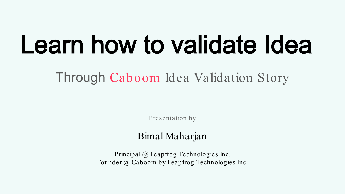# Learn how to validate Idea

Through Caboom Idea Validation Story

Presentation by

# Bimal Maharjan

Principal @ Leapfrog Technologies Inc. Founder @ Caboom by Leapfrog Technologies Inc.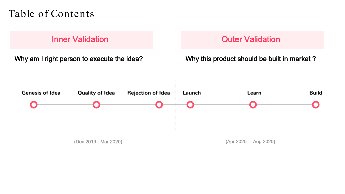# Table of Contents

Inner Validation

Why am I right person to execute the idea?

# Outer Validation

### Why this product should be built in market ?

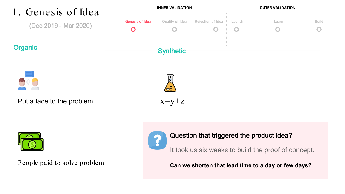



People paid to solve problem



### Question that triggered the product idea?

It took us six weeks to build the proof of concept.

**Can we shorten that lead time to a day or few days?**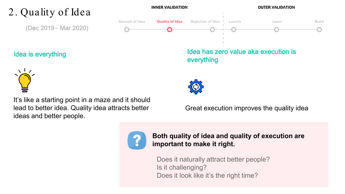#### **INNER VALIDATION OUTER VALIDATION** 2. Quality of Idea Rejection of Idea | Genesis of Idea **Quality of Idea** Launch Learn **Build** (Dec 2019 - Mar 2020) Idea has zero value aka execution is Idea is everything



It's like a starting point in a maze and it should lead to better idea. Quality idea attracts better ideas and better people.

everything



### Great execution improves the quality idea



**Both quality of idea and quality of execution are important to make it right.** 

Does it naturally attract better people? Is it challenging? Does it look like it's the right time?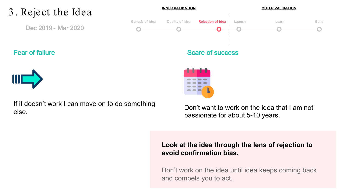# 3. Reject the Idea

Dec 2019 - Mar 2020

**INNER VALIDATION** 

#### **OUTER VALIDATION**



### Fear of failure



If it doesn't work I can move on to do something else.

Don't want to work on the idea that I am not passionate for about 5-10 years.

### **Look at the idea through the lens of rejection to avoid confirmation bias.**

Don't work on the idea until idea keeps coming back and compels you to act.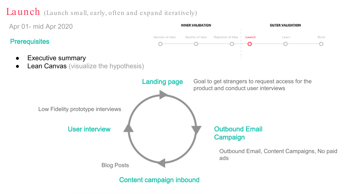# Launch (Launch small, early, often and expand iteratively)

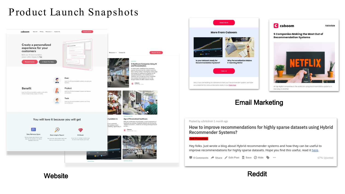# Product Launch Snapshots







Email Marketing

one way or another.

#### Posted by u/bhtdrish 1 month ago

How to improve recommendations for highly sparse datasets using Hybrid **Recommender Systems?** 

#### **Self Promotion**

Hey folks. Just wrote a blog about Hybrid recommender systems and how they can be useful to improve recommendations for highly sparse datasets. Hope you find this useful, read it here.

**■ 0 Comments → Share** / Edit Post **D** Save ⊘ Hide ● …

67% Upvoted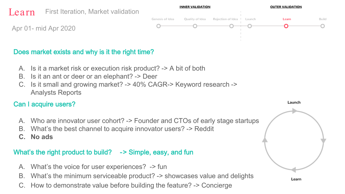

### Does market exists and why is it the right time?

- A. Is it a market risk or execution risk product? -> A bit of both
- B. Is it an ant or deer or an elephant? -> Deer
- C. Is it small and growing market? -> 40% CAGR-> Keyword research -> Analysts Reports

## Can I acquire users?

- A. Who are innovator user cohort? -> Founder and CTOs of early stage startups
- B. What's the best channel to acquire innovator users? -> Reddit
- **C. No ads**

## What's the right product to build? -> Simple, easy, and fun

- A. What's the voice for user experiences? -> fun
- B. What's the minimum serviceable product? -> showcases value and delights
- How to demonstrate value before building the feature? -> Concierge

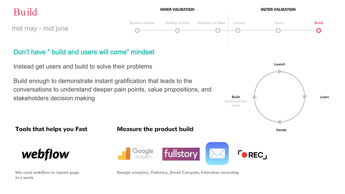# Build

**INNER VALIDATION** 

#### **OUTER VALIDATION**

mid may - mid june



# Don't have " build and users will come" mindset

Instead get users and build to solve their problems

Build enough to demonstrate instant gratification that leads to the conversations to understand deeper pain points, value propositions, and stakeholders decision making



**Tools that helps you Fast** 

**Measure the product build** 



We used webflow to launch page in a week

Google fullstory Analytics

Google analytics, Fullstory, Email Campain, Interview recording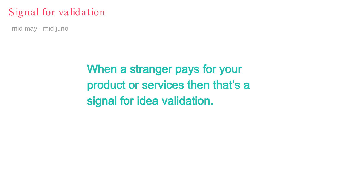# Signal for validation

mid may - mid june

When a stranger pays for your product or services then that's a signal for idea validation.